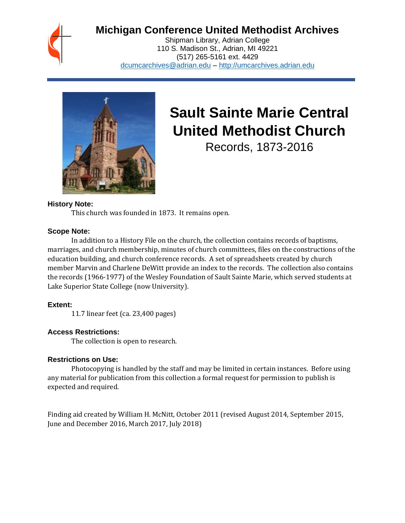

# **Michigan Conference United Methodist Archives**

Shipman Library, Adrian College 110 S. Madison St., Adrian, MI 49221 (517) 265-5161 ext. 4429 [dcumcarchives@adrian.edu](mailto:dcumcarchives@adrian.edu) – [http://umcarchives.adrian.edu](http://umcarchives.adrian.edu/)



# **Sault Sainte Marie Central United Methodist Church**

Records, 1873-2016

#### **History Note:**

This church was founded in 1873. It remains open.

#### **Scope Note:**

In addition to a History File on the church, the collection contains records of baptisms, marriages, and church membership, minutes of church committees, files on the constructions of the education building, and church conference records. A set of spreadsheets created by church member Marvin and Charlene DeWitt provide an index to the records. The collection also contains the records (1966-1977) of the Wesley Foundation of Sault Sainte Marie, which served students at Lake Superior State College (now University).

# **Extent:**

11.7 linear feet (ca. 23,400 pages)

# **Access Restrictions:**

The collection is open to research.

# **Restrictions on Use:**

Photocopying is handled by the staff and may be limited in certain instances. Before using any material for publication from this collection a formal request for permission to publish is expected and required.

Finding aid created by William H. McNitt, October 2011 (revised August 2014, September 2015, June and December 2016, March 2017, July 2018)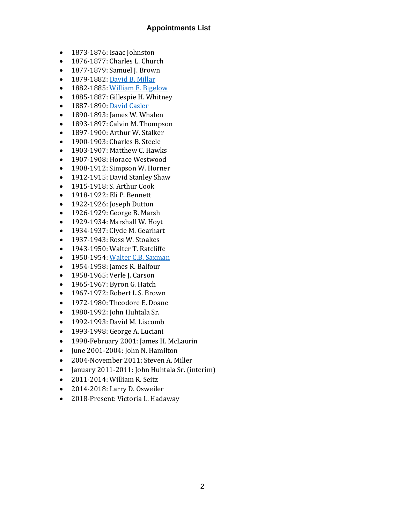#### **Appointments List**

- 1873-1876: Isaac Johnston
- 1876-1877: Charles L. Church
- 1877-1879: Samuel J. Brown
- 1879-1882[: David B. Millar](http://umcarchives.adrian.edu/clergy/millardb.php)
- 1882-1885[: William E. Bigelow](http://umcarchives.adrian.edu/clergy/bigelowwe.php)
- 1885-1887: Gillespie H. Whitney
- 1887-1890[: David Casler](http://umcarchives.adrian.edu/clergy/caslerd.php)
- 1890-1893: James W. Whalen
- 1893-1897: Calvin M. Thompson
- 1897-1900: Arthur W. Stalker
- 1900-1903: Charles B. Steele
- 1903-1907: Matthew C. Hawks
- 1907-1908: Horace Westwood
- 1908-1912: Simpson W. Horner
- 1912-1915: David Stanley Shaw
- 1915-1918: S. Arthur Cook
- 1918-1922: Eli P. Bennett
- 1922-1926: Joseph Dutton
- 1926-1929: George B. Marsh
- 1929-1934: Marshall W. Hoyt
- 1934-1937: Clyde M. Gearhart
- 1937-1943: Ross W. Stoakes
- 1943-1950: Walter T. Ratcliffe
- 1950-1954[: Walter C.B. Saxman](http://umcarchives.adrian.edu/clergy/saxmanwcb.php)
- 1954-1958: James R. Balfour
- 1958-1965: Verle J. Carson
- 1965-1967: Byron G. Hatch
- 1967-1972: Robert L.S. Brown
- 1972-1980: Theodore E. Doane
- 1980-1992: John Huhtala Sr.
- 1992-1993: David M. Liscomb
- 1993-1998: George A. Luciani
- 1998-February 2001: James H. McLaurin
- June 2001-2004: John N. Hamilton
- 2004-November 2011: Steven A. Miller
- January 2011-2011: John Huhtala Sr. (interim)
- 2011-2014: William R. Seitz
- 2014-2018: Larry D. Osweiler
- 2018-Present: Victoria L. Hadaway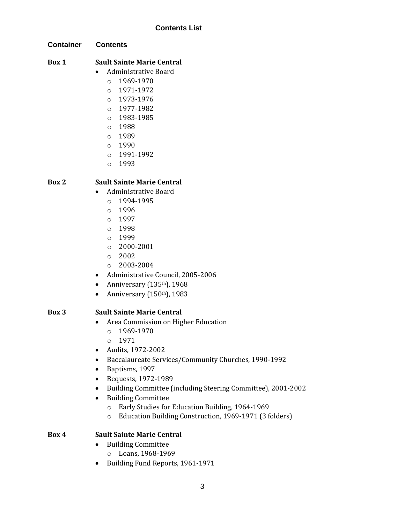# **Container Contents**

# **Box 1 Sault Sainte Marie Central**

- Administrative Board
	- $O$  1969-1970
	- o 1971-1972
	- $O$  1973-1976
	- o 1977-1982
	- o 1983-1985
	- o 1988
	- o 1989
	- $0 1990$
	- o 1991-1992
	- o 1993

# **Box 2 Sault Sainte Marie Central**

- Administrative Board
	- $O$  1994-1995
	- o 1996
	- o 1997
	- o 1998
	- o 1999
	- o 2000-2001
	- o 2002
	- $O$  2003-2004
- Administrative Council, 2005-2006
- Anniversary  $(135<sup>th</sup>)$ , 1968
- Anniversary  $(150<sup>th</sup>)$ , 1983

# **Box 3 Sault Sainte Marie Central**

- Area Commission on Higher Education
	- o 1969-1970
	- o 1971
- Audits, 1972-2002
- Baccalaureate Services/Community Churches, 1990-1992
- Baptisms, 1997
- Bequests, 1972-1989
- Building Committee (including Steering Committee), 2001-2002
- Building Committee
	- o Early Studies for Education Building, 1964-1969
	- o Education Building Construction, 1969-1971 (3 folders)

#### **Box 4 Sault Sainte Marie Central**

- Building Committee
	- o Loans, 1968-1969
- Building Fund Reports, 1961-1971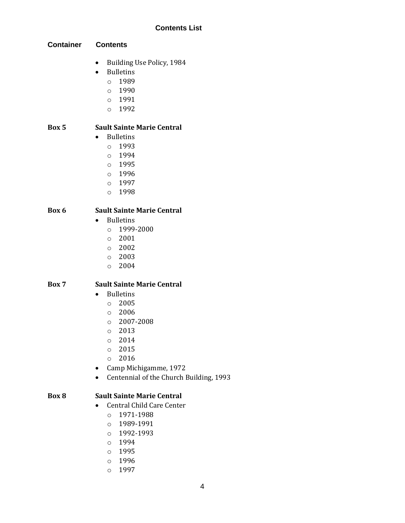**Container Contents**

- Building Use Policy, 1984
- Bulletins
	- o 1989
	- o 1990
	- o 1991
	- o 1992

# **Box 5 Sault Sainte Marie Central**

- Bulletins
	- o 1993
	- o 1994
	- o 1995
	- o 1996
	- o 1997
	- o 1998

#### **Box 6 Sault Sainte Marie Central**

- Bulletins
	- o 1999-2000
	- o 2001
	- o 2002
	- o 2003
	- o 2004

# **Box 7 Sault Sainte Marie Central**

- Bulletins
	- o 2005
	- o 2006
	- o 2007-2008
	- o 2013
	- $O 2014$
	- o 2015
	- o 2016
- Camp Michigamme, 1972
- Centennial of the Church Building, 1993

#### **Box 8 Sault Sainte Marie Central**

- Central Child Care Center
	- o 1971-1988
	- o 1989-1991
	- o 1992-1993
	- o 1994
	- o 1995
	- o 1996
	- o 1997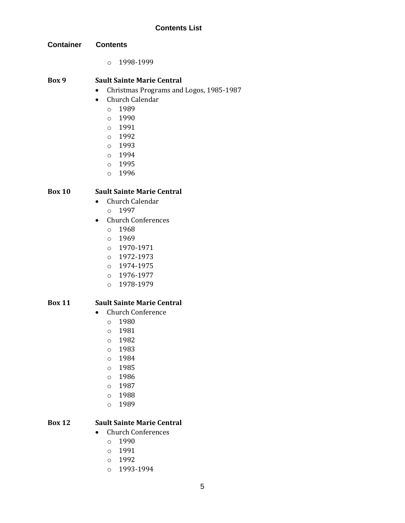- **Container Contents**
	- o 1998-1999

#### **Box 9 Sault Sainte Marie Central**

- Christmas Programs and Logos, 1985-1987
- Church Calendar
	- o 1989
	- o 1990
	- o 1991
	- o 1992
	- o 1993
	- o 1994
	- o 1995
	- o 1996

#### **Box 10 Sault Sainte Marie Central**

- Church Calendar
	- o 1997
- Church Conferences
	- o 1968
	- o 1969
	- o 1970-1971
	- o 1972-1973
	- o 1974-1975
	- o 1976-1977
	- o 1978-1979

#### **Box 11 Sault Sainte Marie Central**

- Church Conference
	- o 1980
	- o 1981
	- o 1982
	- o 1983
	- o 1984
	- o 1985
	- o 1986
	- o 1987
	- o 1988
	- o 1989

# **Box 12 Sault Sainte Marie Central**

- Church Conferences
	- o 1990
	- o 1991
	- o 1992
	- o 1993-1994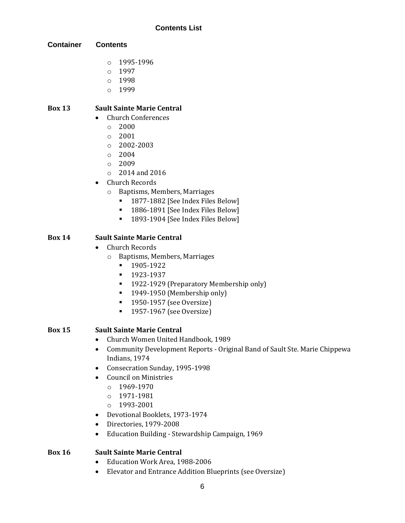**Container Contents**

- o 1995-1996
- o 1997
- o 1998
- o 1999

# **Box 13 Sault Sainte Marie Central**

- Church Conferences
	- $\circ$  2000
	- $\circ$  2001
	- o 2002-2003
	- $\circ$  2004
	- $0^{\circ}$  2009
	- $\circ$  2014 and 2016
- Church Records
	- o Baptisms, Members, Marriages
		- 1877-1882 [See Index Files Below]
		- 1886-1891 [See Index Files Below]
		- 1893-1904 [See Index Files Below]

# **Box 14 Sault Sainte Marie Central**

- Church Records
	- o Baptisms, Members, Marriages
		- 1905-1922
		- 1923-1937
		- 1922-1929 (Preparatory Membership only)
		- 1949-1950 (Membership only)
		- 1950-1957 (see Oversize)
		- 1957-1967 (see Oversize)

# **Box 15 Sault Sainte Marie Central**

- Church Women United Handbook, 1989
- Community Development Reports Original Band of Sault Ste. Marie Chippewa Indians, 1974
- Consecration Sunday, 1995-1998
- Council on Ministries
	- o 1969-1970
	- o 1971-1981
	- o 1993-2001
- Devotional Booklets, 1973-1974
- Directories, 1979-2008
- Education Building Stewardship Campaign, 1969

# **Box 16 Sault Sainte Marie Central**

- Education Work Area, 1988-2006
- Elevator and Entrance Addition Blueprints (see Oversize)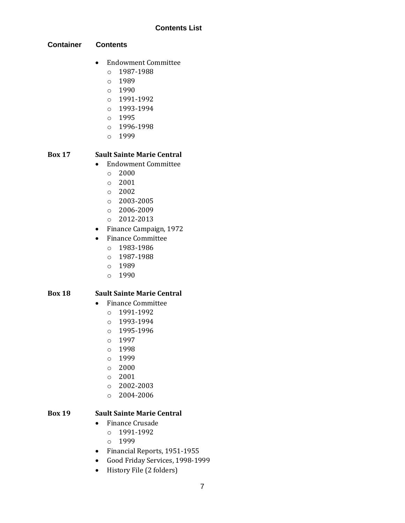#### **Container Contents**

- Endowment Committee
	- o 1987-1988
	- o 1989
	- o 1990
	- o 1991-1992
	- o 1993-1994
	- o 1995
	- o 1996-1998
	- o 1999

# **Box 17 Sault Sainte Marie Central**

- Endowment Committee
	- $\circ$  2000
	- o 2001
	- o 2002
	- $O$  2003-2005
	- o 2006-2009
	- o 2012-2013
- Finance Campaign, 1972
- Finance Committee
	- o 1983-1986
		- o 1987-1988
		- o 1989
		- o 1990

#### **Box 18 Sault Sainte Marie Central**

- Finance Committee
	- o 1991-1992
	- o 1993-1994
	- o 1995-1996
	- o 1997
	- o 1998
	- o 1999
	- o 2000
	- o 2001
	- o 2002-2003
	- o 2004-2006

# **Box 19 Sault Sainte Marie Central**

- Finance Crusade
	- o 1991-1992
	- o 1999
- Financial Reports, 1951-1955
- Good Friday Services, 1998-1999
- History File (2 folders)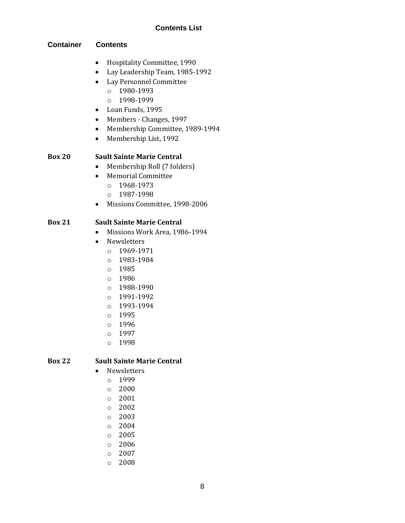#### **Container Contents**

- Hospitality Committee, 1990
- Lay Leadership Team, 1985-1992
- Lay Personnel Committee
	- o 1980-1993
	- o 1998-1999
- Loan Funds, 1995
- Members Changes, 1997
- Membership Committee, 1989-1994
- Membership List, 1992

#### **Box 20 Sault Sainte Marie Central**

- Membership Roll (7 folders)
- Memorial Committee
	- o 1968-1973
	- o 1987-1998
- Missions Committee, 1998-2006

# **Box 21 Sault Sainte Marie Central**

- Missions Work Area, 1986-1994
- Newsletters
	- o 1969-1971
	- o 1983-1984
	- o 1985
	- o 1986
	- o 1988-1990
	- o 1991-1992
	- o 1993-1994
	- o 1995
	- o 1996
	- o 1997
	- o 1998

#### **Box 22 Sault Sainte Marie Central**

- Newsletters
	- o 1999
	- o 2000
	- o 2001
	- o 2002
	- o 2003
	- o 2004
	-
	- o 2005
	- o 2006
	- o 2007
	- o 2008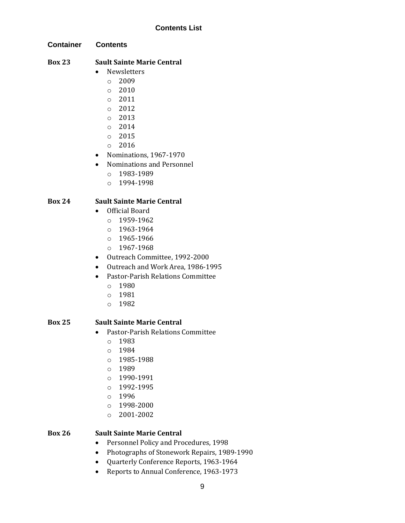**Container Contents**

# **Box 23 Sault Sainte Marie Central**

- Newsletters
	- $O<sup>2009</sup>$
	- o 2010
	- o 2011
	- o 2012
	- o 2013
	- o 2014
	- o 2015
	- o 2016
- Nominations, 1967-1970
- Nominations and Personnel
	- o 1983-1989
	- o 1994-1998

# **Box 24 Sault Sainte Marie Central**

- Official Board
	- o 1959-1962
	- o 1963-1964
	- o 1965-1966
	- o 1967-1968
- Outreach Committee, 1992-2000
- Outreach and Work Area, 1986-1995
- Pastor-Parish Relations Committee
	- o 1980
	- o 1981
	- o 1982

#### **Box 25 Sault Sainte Marie Central**

- Pastor-Parish Relations Committee
	- o 1983
	- o 1984
	- o 1985-1988
	- $O 1989$
	- o 1990-1991
	- o 1992-1995
	- o 1996
	- o 1998-2000
	- o 2001-2002

# **Box 26 Sault Sainte Marie Central**

- Personnel Policy and Procedures, 1998
- Photographs of Stonework Repairs, 1989-1990
- Quarterly Conference Reports, 1963-1964
- Reports to Annual Conference, 1963-1973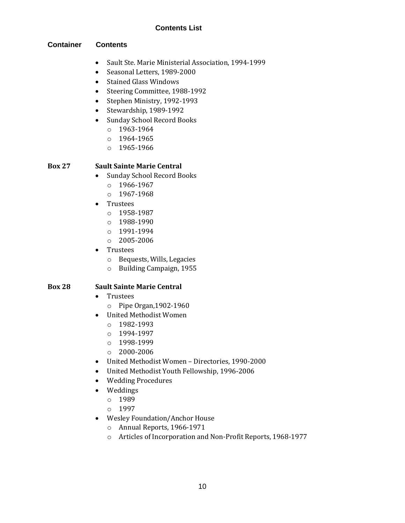#### **Container Contents**

- Sault Ste. Marie Ministerial Association, 1994-1999
- Seasonal Letters, 1989-2000
- Stained Glass Windows
- Steering Committee, 1988-1992
- Stephen Ministry, 1992-1993
- Stewardship, 1989-1992
- Sunday School Record Books
	- o 1963-1964
	- o 1964-1965
	- o 1965-1966

#### **Box 27 Sault Sainte Marie Central**

- Sunday School Record Books
	- o 1966-1967
	- o 1967-1968
- Trustees
	- o 1958-1987
	- o 1988-1990
	- o 1991-1994
	- o 2005-2006
- Trustees
	- o Bequests, Wills, Legacies
	- o Building Campaign, 1955

#### **Box 28 Sault Sainte Marie Central**

- Trustees
	- o Pipe Organ,1902-1960
- United Methodist Women
	- o 1982-1993
	- o 1994-1997
	- o 1998-1999
	- o 2000-2006
- United Methodist Women Directories, 1990-2000
- United Methodist Youth Fellowship, 1996-2006
- Wedding Procedures
- Weddings
	- o 1989
	- o 1997
- Wesley Foundation/Anchor House
	- o Annual Reports, 1966-1971
	- o Articles of Incorporation and Non-Profit Reports, 1968-1977